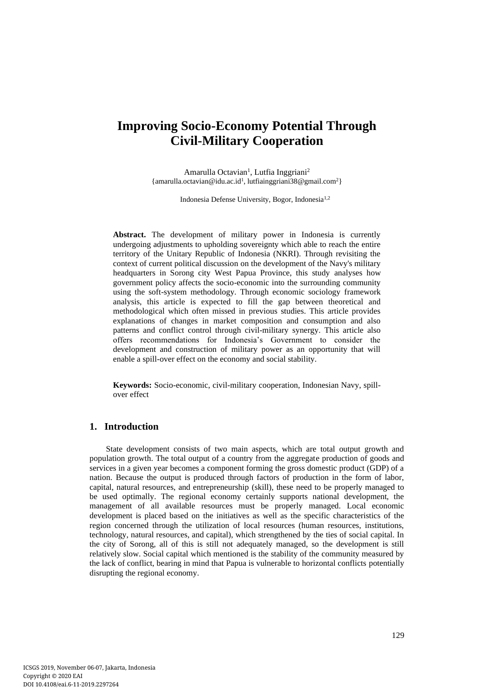# **Improving Socio-Economy Potential Through Civil-Military Cooperation**

Amarulla Octavian<sup>1</sup>, Lutfia Inggriani<sup>2</sup> {amarulla.octavian@idu.ac.id<sup>1</sup> , lutfiainggriani38@gmail.com<sup>2</sup>}

Indonesia Defense University, Bogor, Indonesia1,2

**Abstract.** The development of military power in Indonesia is currently undergoing adjustments to upholding sovereignty which able to reach the entire territory of the Unitary Republic of Indonesia (NKRI). Through revisiting the context of current political discussion on the development of the Navy's military headquarters in Sorong city West Papua Province, this study analyses how government policy affects the socio-economic into the surrounding community using the soft-system methodology. Through economic sociology framework analysis, this article is expected to fill the gap between theoretical and methodological which often missed in previous studies. This article provides explanations of changes in market composition and consumption and also patterns and conflict control through civil-military synergy. This article also offers recommendations for Indonesia's Government to consider the development and construction of military power as an opportunity that will enable a spill-over effect on the economy and social stability.

**Keywords:** Socio-economic, civil-military cooperation, Indonesian Navy, spillover effect

# **1. Introduction**

State development consists of two main aspects, which are total output growth and population growth. The total output of a country from the aggregate production of goods and services in a given year becomes a component forming the gross domestic product (GDP) of a nation. Because the output is produced through factors of production in the form of labor, capital, natural resources, and entrepreneurship (skill), these need to be properly managed to be used optimally. The regional economy certainly supports national development, the management of all available resources must be properly managed. Local economic development is placed based on the initiatives as well as the specific characteristics of the region concerned through the utilization of local resources (human resources, institutions, technology, natural resources, and capital), which strengthened by the ties of social capital. In the city of Sorong, all of this is still not adequately managed, so the development is still relatively slow. Social capital which mentioned is the stability of the community measured by the lack of conflict, bearing in mind that Papua is vulnerable to horizontal conflicts potentially disrupting the regional economy.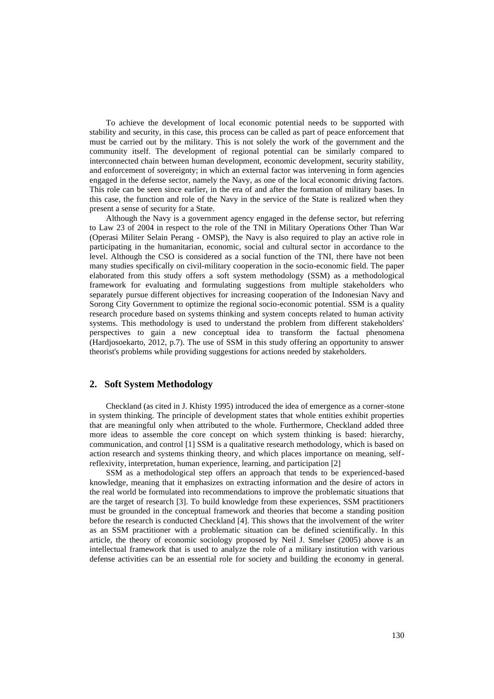To achieve the development of local economic potential needs to be supported with stability and security, in this case, this process can be called as part of peace enforcement that must be carried out by the military. This is not solely the work of the government and the community itself. The development of regional potential can be similarly compared to interconnected chain between human development, economic development, security stability, and enforcement of sovereignty; in which an external factor was intervening in form agencies engaged in the defense sector, namely the Navy, as one of the local economic driving factors. This role can be seen since earlier, in the era of and after the formation of military bases. In this case, the function and role of the Navy in the service of the State is realized when they present a sense of security for a State.

Although the Navy is a government agency engaged in the defense sector, but referring to Law 23 of 2004 in respect to the role of the TNI in Military Operations Other Than War (Operasi Militer Selain Perang - OMSP), the Navy is also required to play an active role in participating in the humanitarian, economic, social and cultural sector in accordance to the level. Although the CSO is considered as a social function of the TNI, there have not been many studies specifically on civil-military cooperation in the socio-economic field. The paper elaborated from this study offers a soft system methodology (SSM) as a methodological framework for evaluating and formulating suggestions from multiple stakeholders who separately pursue different objectives for increasing cooperation of the Indonesian Navy and Sorong City Government to optimize the regional socio-economic potential. SSM is a quality research procedure based on systems thinking and system concepts related to human activity systems. This methodology is used to understand the problem from different stakeholders' perspectives to gain a new conceptual idea to transform the factual phenomena (Hardjosoekarto, 2012, p.7). The use of SSM in this study offering an opportunity to answer theorist's problems while providing suggestions for actions needed by stakeholders.

## **2. Soft System Methodology**

Checkland (as cited in J. Khisty 1995) introduced the idea of emergence as a corner-stone in system thinking. The principle of development states that whole entities exhibit properties that are meaningful only when attributed to the whole. Furthermore, Checkland added three more ideas to assemble the core concept on which system thinking is based: hierarchy, communication, and control [1] SSM is a qualitative research methodology, which is based on action research and systems thinking theory, and which places importance on meaning, selfreflexivity, interpretation, human experience, learning, and participation [2]

SSM as a methodological step offers an approach that tends to be experienced-based knowledge, meaning that it emphasizes on extracting information and the desire of actors in the real world be formulated into recommendations to improve the problematic situations that are the target of research [3]. To build knowledge from these experiences, SSM practitioners must be grounded in the conceptual framework and theories that become a standing position before the research is conducted Checkland [4]. This shows that the involvement of the writer as an SSM practitioner with a problematic situation can be defined scientifically. In this article, the theory of economic sociology proposed by Neil J. Smelser (2005) above is an intellectual framework that is used to analyze the role of a military institution with various defense activities can be an essential role for society and building the economy in general.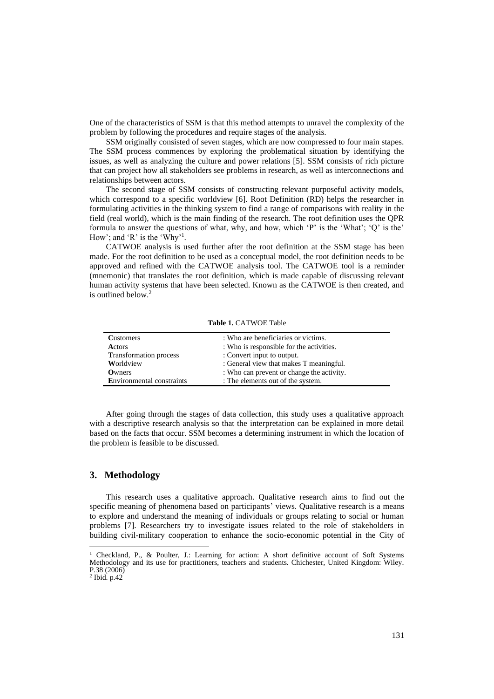One of the characteristics of SSM is that this method attempts to unravel the complexity of the problem by following the procedures and require stages of the analysis.

SSM originally consisted of seven stages, which are now compressed to four main stapes. The SSM process commences by exploring the problematical situation by identifying the issues, as well as analyzing the culture and power relations [5]. SSM consists of rich picture that can project how all stakeholders see problems in research, as well as interconnections and relationships between actors.

The second stage of SSM consists of constructing relevant purposeful activity models, which correspond to a specific worldview [6]. Root Definition (RD) helps the researcher in formulating activities in the thinking system to find a range of comparisons with reality in the field (real world), which is the main finding of the research. The root definition uses the QPR formula to answer the questions of what, why, and how, which 'P' is the 'What'; 'Q' is the' How'; and 'R' is the 'Why'<sup>1</sup>.

CATWOE analysis is used further after the root definition at the SSM stage has been made. For the root definition to be used as a conceptual model, the root definition needs to be approved and refined with the CATWOE analysis tool. The CATWOE tool is a reminder (mnemonic) that translates the root definition, which is made capable of discussing relevant human activity systems that have been selected. Known as the CATWOE is then created, and is outlined below.<sup>2</sup>

| <b>Customers</b>                 | : Who are beneficiaries or victims.       |
|----------------------------------|-------------------------------------------|
| Actors                           | : Who is responsible for the activities.  |
| <b>Transformation</b> process    | : Convert input to output.                |
| Worldview                        | : General view that makes T meaningful.   |
| Owners                           | : Who can prevent or change the activity. |
| <b>Environmental constraints</b> | : The elements out of the system.         |

**Table 1.** CATWOE Table

After going through the stages of data collection, this study uses a qualitative approach with a descriptive research analysis so that the interpretation can be explained in more detail based on the facts that occur. SSM becomes a determining instrument in which the location of the problem is feasible to be discussed.

#### **3. Methodology**

This research uses a qualitative approach. Qualitative research aims to find out the specific meaning of phenomena based on participants' views. Qualitative research is a means to explore and understand the meaning of individuals or groups relating to social or human problems [7]. Researchers try to investigate issues related to the role of stakeholders in building civil-military cooperation to enhance the socio-economic potential in the City of

<sup>&</sup>lt;sup>1</sup> Checkland, P., & Poulter, J.: Learning for action: A short definitive account of Soft Systems Methodology and its use for practitioners, teachers and students. Chichester, United Kingdom: Wiley. P.38 (2006) 2 Ibid. p.42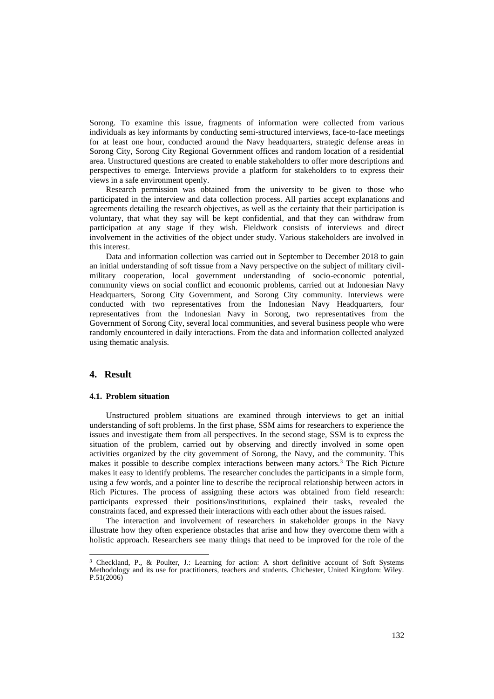Sorong. To examine this issue, fragments of information were collected from various individuals as key informants by conducting semi-structured interviews, face-to-face meetings for at least one hour, conducted around the Navy headquarters, strategic defense areas in Sorong City, Sorong City Regional Government offices and random location of a residential area. Unstructured questions are created to enable stakeholders to offer more descriptions and perspectives to emerge. Interviews provide a platform for stakeholders to to express their views in a safe environment openly.

Research permission was obtained from the university to be given to those who participated in the interview and data collection process. All parties accept explanations and agreements detailing the research objectives, as well as the certainty that their participation is voluntary, that what they say will be kept confidential, and that they can withdraw from participation at any stage if they wish. Fieldwork consists of interviews and direct involvement in the activities of the object under study. Various stakeholders are involved in this interest.

Data and information collection was carried out in September to December 2018 to gain an initial understanding of soft tissue from a Navy perspective on the subject of military civilmilitary cooperation, local government understanding of socio-economic potential, community views on social conflict and economic problems, carried out at Indonesian Navy Headquarters, Sorong City Government, and Sorong City community. Interviews were conducted with two representatives from the Indonesian Navy Headquarters, four representatives from the Indonesian Navy in Sorong, two representatives from the Government of Sorong City, several local communities, and several business people who were randomly encountered in daily interactions. From the data and information collected analyzed using thematic analysis.

#### **4. Result**

#### **4.1. Problem situation**

Unstructured problem situations are examined through interviews to get an initial understanding of soft problems. In the first phase, SSM aims for researchers to experience the issues and investigate them from all perspectives. In the second stage, SSM is to express the situation of the problem, carried out by observing and directly involved in some open activities organized by the city government of Sorong, the Navy, and the community. This makes it possible to describe complex interactions between many actors.<sup>3</sup> The Rich Picture makes it easy to identify problems. The researcher concludes the participants in a simple form, using a few words, and a pointer line to describe the reciprocal relationship between actors in Rich Pictures. The process of assigning these actors was obtained from field research: participants expressed their positions/institutions, explained their tasks, revealed the constraints faced, and expressed their interactions with each other about the issues raised.

The interaction and involvement of researchers in stakeholder groups in the Navy illustrate how they often experience obstacles that arise and how they overcome them with a holistic approach. Researchers see many things that need to be improved for the role of the

<sup>3</sup> Checkland, P., & Poulter, J.: Learning for action: A short definitive account of Soft Systems Methodology and its use for practitioners, teachers and students. Chichester, United Kingdom: Wiley. P.51(2006)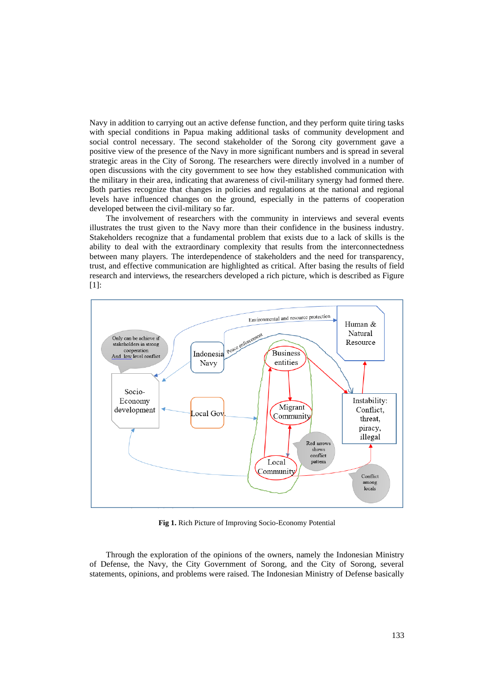Navy in addition to carrying out an active defense function, and they perform quite tiring tasks with special conditions in Papua making additional tasks of community development and social control necessary. The second stakeholder of the Sorong city government gave a positive view of the presence of the Navy in more significant numbers and is spread in several strategic areas in the City of Sorong. The researchers were directly involved in a number of open discussions with the city government to see how they established communication with the military in their area, indicating that awareness of civil-military synergy had formed there. Both parties recognize that changes in policies and regulations at the national and regional levels have influenced changes on the ground, especially in the patterns of cooperation developed between the civil-military so far.

The involvement of researchers with the community in interviews and several events illustrates the trust given to the Navy more than their confidence in the business industry. Stakeholders recognize that a fundamental problem that exists due to a lack of skills is the ability to deal with the extraordinary complexity that results from the interconnectedness between many players. The interdependence of stakeholders and the need for transparency, trust, and effective communication are highlighted as critical. After basing the results of field research and interviews, the researchers developed a rich picture, which is described as Figure [1]:



**Fig 1.** Rich Picture of Improving Socio-Economy Potential

Through the exploration of the opinions of the owners, namely the Indonesian Ministry of Defense, the Navy, the City Government of Sorong, and the City of Sorong, several statements, opinions, and problems were raised. The Indonesian Ministry of Defense basically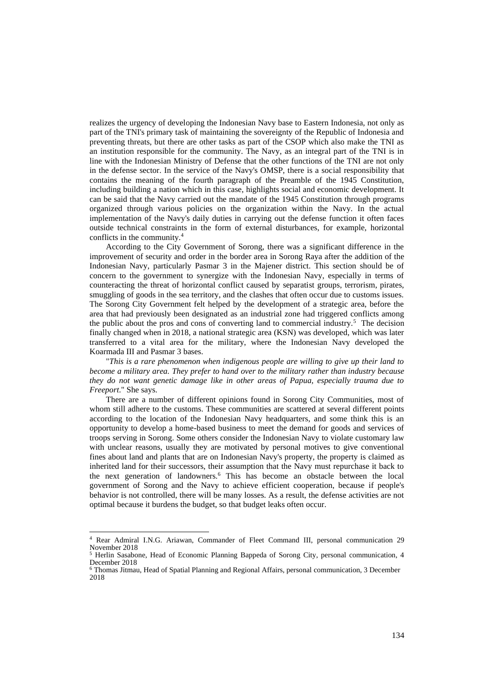realizes the urgency of developing the Indonesian Navy base to Eastern Indonesia, not only as part of the TNI's primary task of maintaining the sovereignty of the Republic of Indonesia and preventing threats, but there are other tasks as part of the CSOP which also make the TNI as an institution responsible for the community. The Navy, as an integral part of the TNI is in line with the Indonesian Ministry of Defense that the other functions of the TNI are not only in the defense sector. In the service of the Navy's OMSP, there is a social responsibility that contains the meaning of the fourth paragraph of the Preamble of the 1945 Constitution, including building a nation which in this case, highlights social and economic development. It can be said that the Navy carried out the mandate of the 1945 Constitution through programs organized through various policies on the organization within the Navy. In the actual implementation of the Navy's daily duties in carrying out the defense function it often faces outside technical constraints in the form of external disturbances, for example, horizontal conflicts in the community.<sup>4</sup>

According to the City Government of Sorong, there was a significant difference in the improvement of security and order in the border area in Sorong Raya after the addition of the Indonesian Navy, particularly Pasmar 3 in the Majener district. This section should be of concern to the government to synergize with the Indonesian Navy, especially in terms of counteracting the threat of horizontal conflict caused by separatist groups, terrorism, pirates, smuggling of goods in the sea territory, and the clashes that often occur due to customs issues. The Sorong City Government felt helped by the development of a strategic area, before the area that had previously been designated as an industrial zone had triggered conflicts among the public about the pros and cons of converting land to commercial industry.<sup>5</sup> The decision finally changed when in 2018, a national strategic area (KSN) was developed, which was later transferred to a vital area for the military, where the Indonesian Navy developed the Koarmada III and Pasmar 3 bases.

"*This is a rare phenomenon when indigenous people are willing to give up their land to become a military area. They prefer to hand over to the military rather than industry because they do not want genetic damage like in other areas of Papua, especially trauma due to Freeport*." She says.

There are a number of different opinions found in Sorong City Communities, most of whom still adhere to the customs. These communities are scattered at several different points according to the location of the Indonesian Navy headquarters, and some think this is an opportunity to develop a home-based business to meet the demand for goods and services of troops serving in Sorong. Some others consider the Indonesian Navy to violate customary law with unclear reasons, usually they are motivated by personal motives to give conventional fines about land and plants that are on Indonesian Navy's property, the property is claimed as inherited land for their successors, their assumption that the Navy must repurchase it back to the next generation of landowners.<sup>6</sup> This has become an obstacle between the local government of Sorong and the Navy to achieve efficient cooperation, because if people's behavior is not controlled, there will be many losses. As a result, the defense activities are not optimal because it burdens the budget, so that budget leaks often occur.

<sup>4</sup> Rear Admiral I.N.G. Ariawan, Commander of Fleet Command III, personal communication 29 November 2018

<sup>5</sup> Herlin Sasabone, Head of Economic Planning Bappeda of Sorong City, personal communication, 4 December 2018

<sup>6</sup> Thomas Jitmau, Head of Spatial Planning and Regional Affairs, personal communication, 3 December 2018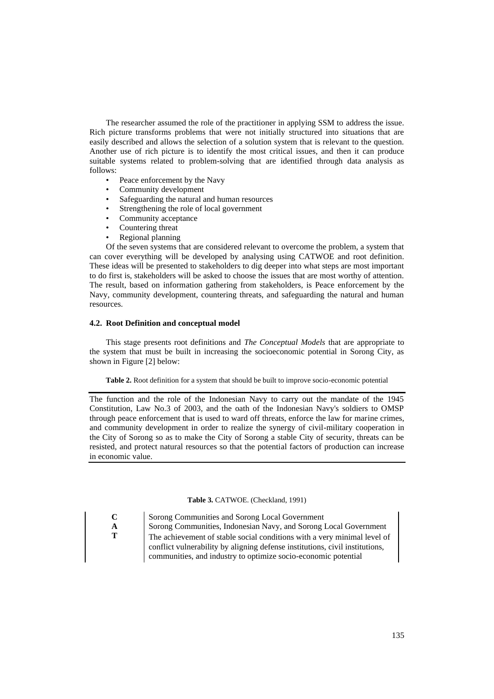The researcher assumed the role of the practitioner in applying SSM to address the issue. Rich picture transforms problems that were not initially structured into situations that are easily described and allows the selection of a solution system that is relevant to the question. Another use of rich picture is to identify the most critical issues, and then it can produce suitable systems related to problem-solving that are identified through data analysis as follows:

- Peace enforcement by the Navy
- Community development
- Safeguarding the natural and human resources
- Strengthening the role of local government
- Community acceptance
- Countering threat
- Regional planning

Of the seven systems that are considered relevant to overcome the problem, a system that can cover everything will be developed by analysing using CATWOE and root definition. These ideas will be presented to stakeholders to dig deeper into what steps are most important to do first is, stakeholders will be asked to choose the issues that are most worthy of attention. The result, based on information gathering from stakeholders, is Peace enforcement by the Navy, community development, countering threats, and safeguarding the natural and human resources.

#### **4.2. Root Definition and conceptual model**

This stage presents root definitions and *The Conceptual Models* that are appropriate to the system that must be built in increasing the socioeconomic potential in Sorong City, as shown in Figure [2] below:

**Table 2.** Root definition for a system that should be built to improve socio-economic potential

The function and the role of the Indonesian Navy to carry out the mandate of the 1945 Constitution, Law No.3 of 2003, and the oath of the Indonesian Navy's soldiers to OMSP through peace enforcement that is used to ward off threats, enforce the law for marine crimes, and community development in order to realize the synergy of civil-military cooperation in the City of Sorong so as to make the City of Sorong a stable City of security, threats can be resisted, and protect natural resources so that the potential factors of production can increase in economic value.

**Table 3.** CATWOE. (Checkland, 1991)

**C** Sorong Communities and Sorong Local Government **A** Sorong Communities, Indonesian Navy, and Sorong Local Government **T** The achievement of stable social conditions with a very minimal level of conflict vulnerability by aligning defense institutions, civil institutions, communities, and industry to optimize socio-economic potential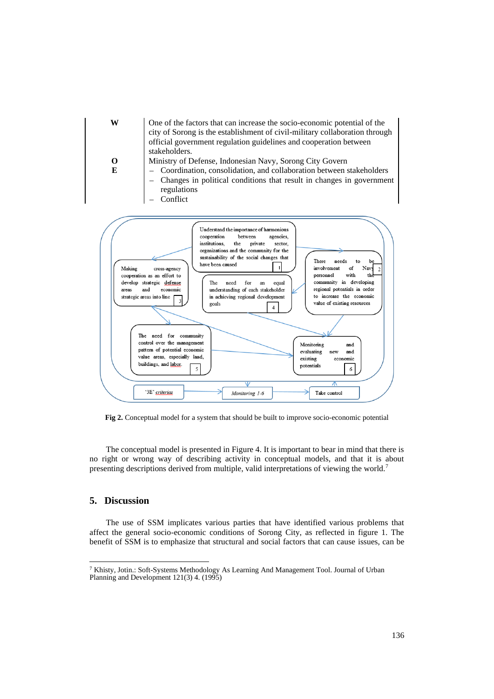

**Fig 2.** Conceptual model for a system that should be built to improve socio-economic potential

The conceptual model is presented in Figure 4. It is important to bear in mind that there is no right or wrong way of describing activity in conceptual models, and that it is about presenting descriptions derived from multiple, valid interpretations of viewing the world.<sup>7</sup>

## **5. Discussion**

The use of SSM implicates various parties that have identified various problems that affect the general socio-economic conditions of Sorong City, as reflected in figure 1. The benefit of SSM is to emphasize that structural and social factors that can cause issues, can be

<sup>7</sup> Khisty, Jotin.: Soft-Systems Methodology As Learning And Management Tool. Journal of Urban Planning and Development 121(3) 4. (1995)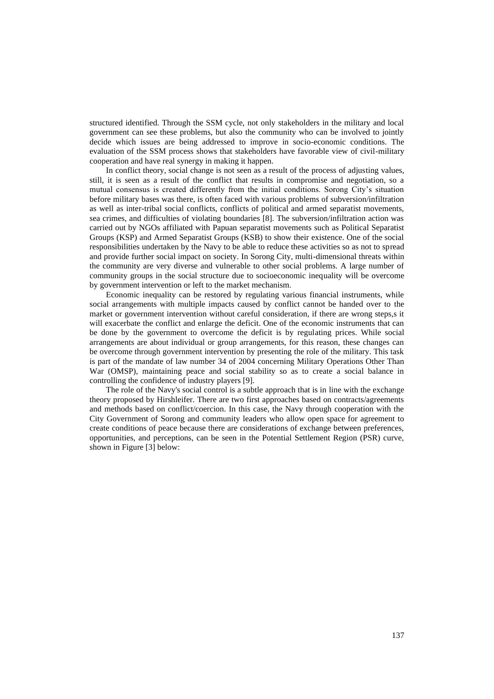structured identified. Through the SSM cycle, not only stakeholders in the military and local government can see these problems, but also the community who can be involved to jointly decide which issues are being addressed to improve in socio-economic conditions. The evaluation of the SSM process shows that stakeholders have favorable view of civil-military cooperation and have real synergy in making it happen.

In conflict theory, social change is not seen as a result of the process of adjusting values, still, it is seen as a result of the conflict that results in compromise and negotiation, so a mutual consensus is created differently from the initial conditions. Sorong City's situation before military bases was there, is often faced with various problems of subversion/infiltration as well as inter-tribal social conflicts, conflicts of political and armed separatist movements, sea crimes, and difficulties of violating boundaries [8]. The subversion/infiltration action was carried out by NGOs affiliated with Papuan separatist movements such as Political Separatist Groups (KSP) and Armed Separatist Groups (KSB) to show their existence. One of the social responsibilities undertaken by the Navy to be able to reduce these activities so as not to spread and provide further social impact on society. In Sorong City, multi-dimensional threats within the community are very diverse and vulnerable to other social problems. A large number of community groups in the social structure due to socioeconomic inequality will be overcome by government intervention or left to the market mechanism.

Economic inequality can be restored by regulating various financial instruments, while social arrangements with multiple impacts caused by conflict cannot be handed over to the market or government intervention without careful consideration, if there are wrong steps,s it will exacerbate the conflict and enlarge the deficit. One of the economic instruments that can be done by the government to overcome the deficit is by regulating prices. While social arrangements are about individual or group arrangements, for this reason, these changes can be overcome through government intervention by presenting the role of the military. This task is part of the mandate of law number 34 of 2004 concerning Military Operations Other Than War (OMSP), maintaining peace and social stability so as to create a social balance in controlling the confidence of industry players [9].

The role of the Navy's social control is a subtle approach that is in line with the exchange theory proposed by Hirshleifer. There are two first approaches based on contracts/agreements and methods based on conflict/coercion. In this case, the Navy through cooperation with the City Government of Sorong and community leaders who allow open space for agreement to create conditions of peace because there are considerations of exchange between preferences, opportunities, and perceptions, can be seen in the Potential Settlement Region (PSR) curve, shown in Figure [3] below: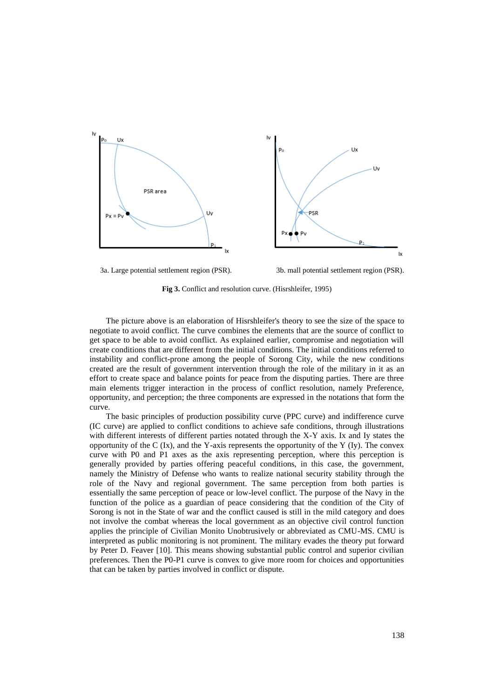

**Fig 3.** Conflict and resolution curve. (Hisrshleifer, 1995)

The picture above is an elaboration of Hisrshleifer's theory to see the size of the space to negotiate to avoid conflict. The curve combines the elements that are the source of conflict to get space to be able to avoid conflict. As explained earlier, compromise and negotiation will create conditions that are different from the initial conditions. The initial conditions referred to instability and conflict-prone among the people of Sorong City, while the new conditions created are the result of government intervention through the role of the military in it as an effort to create space and balance points for peace from the disputing parties. There are three main elements trigger interaction in the process of conflict resolution, namely Preference, opportunity, and perception; the three components are expressed in the notations that form the curve.

The basic principles of production possibility curve (PPC curve) and indifference curve (IC curve) are applied to conflict conditions to achieve safe conditions, through illustrations with different interests of different parties notated through the X-Y axis. Ix and Iy states the opportunity of the C  $(Ix)$ , and the Y-axis represents the opportunity of the Y  $(Iy)$ . The convex curve with P0 and P1 axes as the axis representing perception, where this perception is generally provided by parties offering peaceful conditions, in this case, the government, namely the Ministry of Defense who wants to realize national security stability through the role of the Navy and regional government. The same perception from both parties is essentially the same perception of peace or low-level conflict. The purpose of the Navy in the function of the police as a guardian of peace considering that the condition of the City of Sorong is not in the State of war and the conflict caused is still in the mild category and does not involve the combat whereas the local government as an objective civil control function applies the principle of Civilian Monito Unobtrusively or abbreviated as CMU-MS. CMU is interpreted as public monitoring is not prominent. The military evades the theory put forward by Peter D. Feaver [10]. This means showing substantial public control and superior civilian preferences. Then the P0-P1 curve is convex to give more room for choices and opportunities that can be taken by parties involved in conflict or dispute.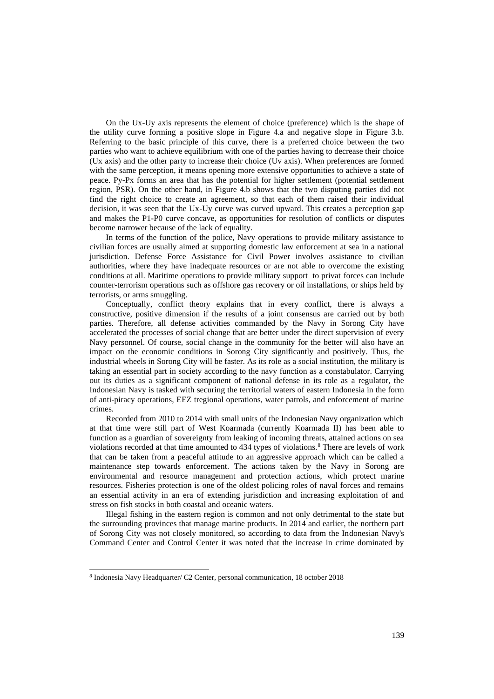On the Ux-Uy axis represents the element of choice (preference) which is the shape of the utility curve forming a positive slope in Figure 4.a and negative slope in Figure 3.b. Referring to the basic principle of this curve, there is a preferred choice between the two parties who want to achieve equilibrium with one of the parties having to decrease their choice (Ux axis) and the other party to increase their choice (Uv axis). When preferences are formed with the same perception, it means opening more extensive opportunities to achieve a state of peace. Py-Px forms an area that has the potential for higher settlement (potential settlement region, PSR). On the other hand, in Figure 4.b shows that the two disputing parties did not find the right choice to create an agreement, so that each of them raised their individual decision, it was seen that the Ux-Uy curve was curved upward. This creates a perception gap and makes the P1-P0 curve concave, as opportunities for resolution of conflicts or disputes become narrower because of the lack of equality.

In terms of the function of the police, Navy operations to provide military assistance to civilian forces are usually aimed at supporting domestic law enforcement at sea in a national jurisdiction. Defense Force Assistance for Civil Power involves assistance to civilian authorities, where they have inadequate resources or are not able to overcome the existing conditions at all. Maritime operations to provide military support to privat forces can include counter-terrorism operations such as offshore gas recovery or oil installations, or ships held by terrorists, or arms smuggling.

Conceptually, conflict theory explains that in every conflict, there is always a constructive, positive dimension if the results of a joint consensus are carried out by both parties. Therefore, all defense activities commanded by the Navy in Sorong City have accelerated the processes of social change that are better under the direct supervision of every Navy personnel. Of course, social change in the community for the better will also have an impact on the economic conditions in Sorong City significantly and positively. Thus, the industrial wheels in Sorong City will be faster. As its role as a social institution, the military is taking an essential part in society according to the navy function as a constabulator. Carrying out its duties as a significant component of national defense in its role as a regulator, the Indonesian Navy is tasked with securing the territorial waters of eastern Indonesia in the form of anti-piracy operations, EEZ tregional operations, water patrols, and enforcement of marine crimes.

Recorded from 2010 to 2014 with small units of the Indonesian Navy organization which at that time were still part of West Koarmada (currently Koarmada II) has been able to function as a guardian of sovereignty from leaking of incoming threats, attained actions on sea violations recorded at that time amounted to 434 types of violations.<sup>8</sup> There are levels of work that can be taken from a peaceful attitude to an aggressive approach which can be called a maintenance step towards enforcement. The actions taken by the Navy in Sorong are environmental and resource management and protection actions, which protect marine resources. Fisheries protection is one of the oldest policing roles of naval forces and remains an essential activity in an era of extending jurisdiction and increasing exploitation of and stress on fish stocks in both coastal and oceanic waters.

Illegal fishing in the eastern region is common and not only detrimental to the state but the surrounding provinces that manage marine products. In 2014 and earlier, the northern part of Sorong City was not closely monitored, so according to data from the Indonesian Navy's Command Center and Control Center it was noted that the increase in crime dominated by

<sup>8</sup> Indonesia Navy Headquarter/ C2 Center, personal communication, 18 october 2018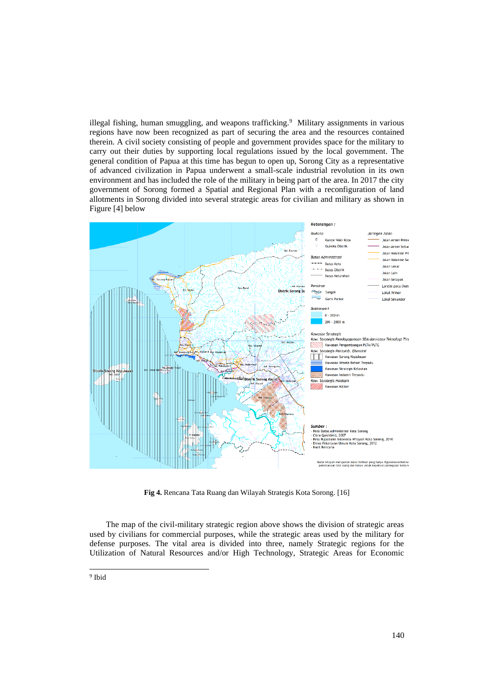illegal fishing, human smuggling, and weapons trafficking.<sup>9</sup> Military assignments in various regions have now been recognized as part of securing the area and the resources contained therein. A civil society consisting of people and government provides space for the military to carry out their duties by supporting local regulations issued by the local government. The general condition of Papua at this time has begun to open up, Sorong City as a representative of advanced civilization in Papua underwent a small-scale industrial revolution in its own environment and has included the role of the military in being part of the area. In 2017 the city government of Sorong formed a Spatial and Regional Plan with a reconfiguration of land allotments in Sorong divided into several strategic areas for civilian and military as shown in Figure [4] below



**Fig 4.** Rencana Tata Ruang dan Wilayah Strategis Kota Sorong. [16]

The map of the civil-military strategic region above shows the division of strategic areas used by civilians for commercial purposes, while the strategic areas used by the military for defense purposes. The vital area is divided into three, namely Strategic regions for the Utilization of Natural Resources and/or High Technology, Strategic Areas for Economic

<sup>&</sup>lt;sup>9</sup> Ibid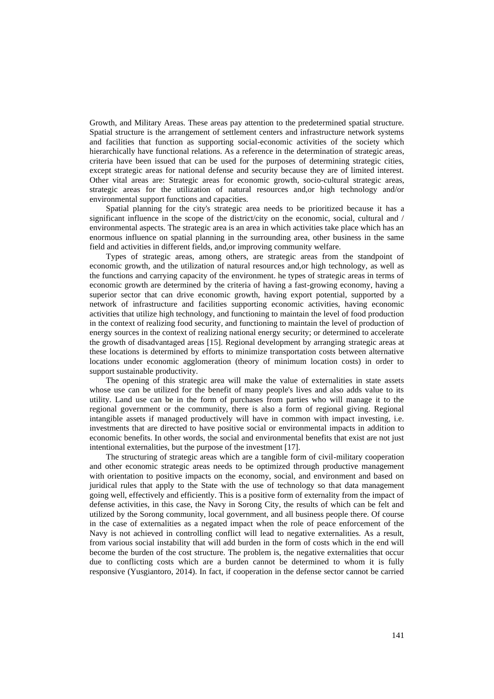Growth, and Military Areas. These areas pay attention to the predetermined spatial structure. Spatial structure is the arrangement of settlement centers and infrastructure network systems and facilities that function as supporting social-economic activities of the society which hierarchically have functional relations. As a reference in the determination of strategic areas, criteria have been issued that can be used for the purposes of determining strategic cities, except strategic areas for national defense and security because they are of limited interest. Other vital areas are: Strategic areas for economic growth, socio-cultural strategic areas, strategic areas for the utilization of natural resources and,or high technology and/or environmental support functions and capacities.

Spatial planning for the city's strategic area needs to be prioritized because it has a significant influence in the scope of the district/city on the economic, social, cultural and / environmental aspects. The strategic area is an area in which activities take place which has an enormous influence on spatial planning in the surrounding area, other business in the same field and activities in different fields, and,or improving community welfare.

Types of strategic areas, among others, are strategic areas from the standpoint of economic growth, and the utilization of natural resources and,or high technology, as well as the functions and carrying capacity of the environment. he types of strategic areas in terms of economic growth are determined by the criteria of having a fast-growing economy, having a superior sector that can drive economic growth, having export potential, supported by a network of infrastructure and facilities supporting economic activities, having economic activities that utilize high technology, and functioning to maintain the level of food production in the context of realizing food security, and functioning to maintain the level of production of energy sources in the context of realizing national energy security; or determined to accelerate the growth of disadvantaged areas [15]. Regional development by arranging strategic areas at these locations is determined by efforts to minimize transportation costs between alternative locations under economic agglomeration (theory of minimum location costs) in order to support sustainable productivity.

The opening of this strategic area will make the value of externalities in state assets whose use can be utilized for the benefit of many people's lives and also adds value to its utility. Land use can be in the form of purchases from parties who will manage it to the regional government or the community, there is also a form of regional giving. Regional intangible assets if managed productively will have in common with impact investing, i.e. investments that are directed to have positive social or environmental impacts in addition to economic benefits. In other words, the social and environmental benefits that exist are not just intentional externalities, but the purpose of the investment [17].

The structuring of strategic areas which are a tangible form of civil-military cooperation and other economic strategic areas needs to be optimized through productive management with orientation to positive impacts on the economy, social, and environment and based on juridical rules that apply to the State with the use of technology so that data management going well, effectively and efficiently. This is a positive form of externality from the impact of defense activities, in this case, the Navy in Sorong City, the results of which can be felt and utilized by the Sorong community, local government, and all business people there. Of course in the case of externalities as a negated impact when the role of peace enforcement of the Navy is not achieved in controlling conflict will lead to negative externalities. As a result, from various social instability that will add burden in the form of costs which in the end will become the burden of the cost structure. The problem is, the negative externalities that occur due to conflicting costs which are a burden cannot be determined to whom it is fully responsive (Yusgiantoro, 2014). In fact, if cooperation in the defense sector cannot be carried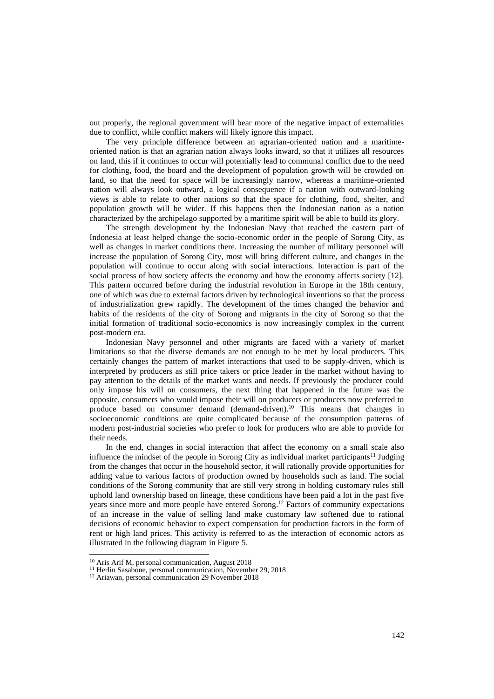out properly, the regional government will bear more of the negative impact of externalities due to conflict, while conflict makers will likely ignore this impact.

The very principle difference between an agrarian-oriented nation and a maritimeoriented nation is that an agrarian nation always looks inward, so that it utilizes all resources on land, this if it continues to occur will potentially lead to communal conflict due to the need for clothing, food, the board and the development of population growth will be crowded on land, so that the need for space will be increasingly narrow, whereas a maritime-oriented nation will always look outward, a logical consequence if a nation with outward-looking views is able to relate to other nations so that the space for clothing, food, shelter, and population growth will be wider. If this happens then the Indonesian nation as a nation characterized by the archipelago supported by a maritime spirit will be able to build its glory.

The strength development by the Indonesian Navy that reached the eastern part of Indonesia at least helped change the socio-economic order in the people of Sorong City, as well as changes in market conditions there. Increasing the number of military personnel will increase the population of Sorong City, most will bring different culture, and changes in the population will continue to occur along with social interactions. Interaction is part of the social process of how society affects the economy and how the economy affects society [12]. This pattern occurred before during the industrial revolution in Europe in the 18th century, one of which was due to external factors driven by technological inventions so that the process of industrialization grew rapidly. The development of the times changed the behavior and habits of the residents of the city of Sorong and migrants in the city of Sorong so that the initial formation of traditional socio-economics is now increasingly complex in the current post-modern era.

Indonesian Navy personnel and other migrants are faced with a variety of market limitations so that the diverse demands are not enough to be met by local producers. This certainly changes the pattern of market interactions that used to be supply-driven, which is interpreted by producers as still price takers or price leader in the market without having to pay attention to the details of the market wants and needs. If previously the producer could only impose his will on consumers, the next thing that happened in the future was the opposite, consumers who would impose their will on producers or producers now preferred to produce based on consumer demand (demand-driven).<sup>10</sup> This means that changes in socioeconomic conditions are quite complicated because of the consumption patterns of modern post-industrial societies who prefer to look for producers who are able to provide for their needs.

In the end, changes in social interaction that affect the economy on a small scale also influence the mindset of the people in Sorong City as individual market participants<sup>11</sup> Judging from the changes that occur in the household sector, it will rationally provide opportunities for adding value to various factors of production owned by households such as land. The social conditions of the Sorong community that are still very strong in holding customary rules still uphold land ownership based on lineage, these conditions have been paid a lot in the past five years since more and more people have entered Sorong.<sup>12</sup> Factors of community expectations of an increase in the value of selling land make customary law softened due to rational decisions of economic behavior to expect compensation for production factors in the form of rent or high land prices. This activity is referred to as the interaction of economic actors as illustrated in the following diagram in Figure 5.

<sup>10</sup> Aris Arif M, personal communication, August 2018

<sup>&</sup>lt;sup>11</sup> Herlin Sasabone, personal communication, November 29, 2018

<sup>12</sup> Ariawan, personal communication 29 November 2018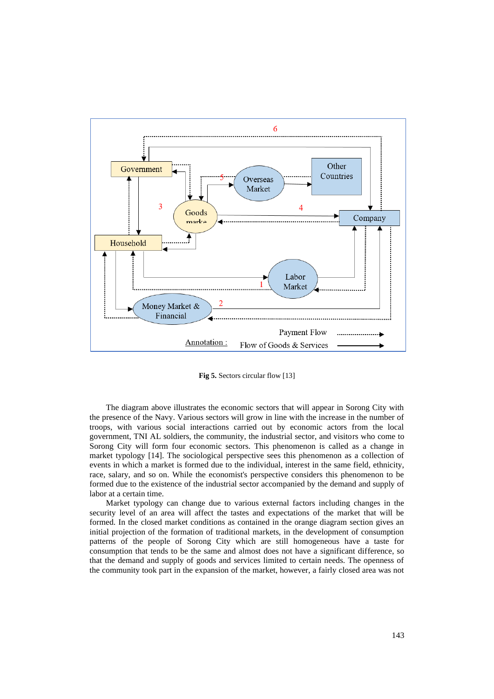

**Fig 5.** Sectors circular flow [13]

The diagram above illustrates the economic sectors that will appear in Sorong City with the presence of the Navy. Various sectors will grow in line with the increase in the number of troops, with various social interactions carried out by economic actors from the local government, TNI AL soldiers, the community, the industrial sector, and visitors who come to Sorong City will form four economic sectors. This phenomenon is called as a change in market typology [14]. The sociological perspective sees this phenomenon as a collection of events in which a market is formed due to the individual, interest in the same field, ethnicity, race, salary, and so on. While the economist's perspective considers this phenomenon to be formed due to the existence of the industrial sector accompanied by the demand and supply of labor at a certain time.

Market typology can change due to various external factors including changes in the security level of an area will affect the tastes and expectations of the market that will be formed. In the closed market conditions as contained in the orange diagram section gives an initial projection of the formation of traditional markets, in the development of consumption patterns of the people of Sorong City which are still homogeneous have a taste for consumption that tends to be the same and almost does not have a significant difference, so that the demand and supply of goods and services limited to certain needs. The openness of the community took part in the expansion of the market, however, a fairly closed area was not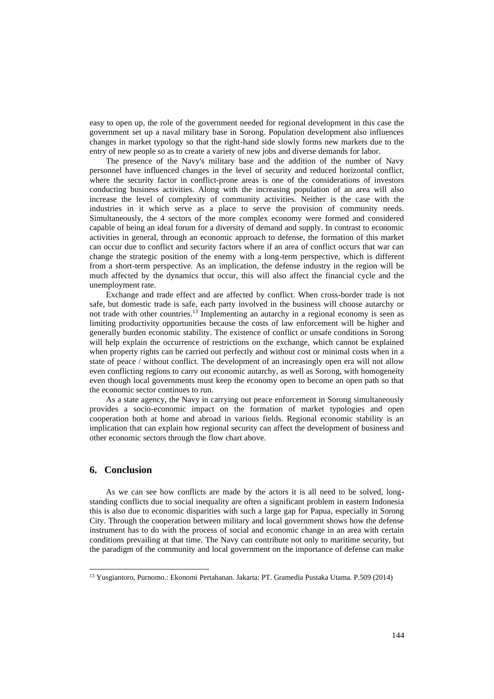easy to open up, the role of the government needed for regional development in this case the government set up a naval military base in Sorong. Population development also influences changes in market typology so that the right-hand side slowly forms new markets due to the entry of new people so as to create a variety of new jobs and diverse demands for labor.

The presence of the Navy's military base and the addition of the number of Navy personnel have influenced changes in the level of security and reduced horizontal conflict, where the security factor in conflict-prone areas is one of the considerations of investors conducting business activities. Along with the increasing population of an area will also increase the level of complexity of community activities. Neither is the case with the industries in it which serve as a place to serve the provision of community needs. Simultaneously, the 4 sectors of the more complex economy were formed and considered capable of being an ideal forum for a diversity of demand and supply. In contrast to economic activities in general, through an economic approach to defense, the formation of this market can occur due to conflict and security factors where if an area of conflict occurs that war can change the strategic position of the enemy with a long-term perspective, which is different from a short-term perspective. As an implication, the defense industry in the region will be much affected by the dynamics that occur, this will also affect the financial cycle and the unemployment rate.

Exchange and trade effect and are affected by conflict. When cross-border trade is not safe, but domestic trade is safe, each party involved in the business will choose autarchy or not trade with other countries.<sup>13</sup> Implementing an autarchy in a regional economy is seen as limiting productivity opportunities because the costs of law enforcement will be higher and generally burden economic stability. The existence of conflict or unsafe conditions in Sorong will help explain the occurrence of restrictions on the exchange, which cannot be explained when property rights can be carried out perfectly and without cost or minimal costs when in a state of peace / without conflict. The development of an increasingly open era will not allow even conflicting regions to carry out economic autarchy, as well as Sorong, with homogeneity even though local governments must keep the economy open to become an open path so that the economic sector continues to run.

As a state agency, the Navy in carrying out peace enforcement in Sorong simultaneously provides a socio-economic impact on the formation of market typologies and open cooperation both at home and abroad in various fields. Regional economic stability is an implication that can explain how regional security can affect the development of business and other economic sectors through the flow chart above.

# **6. Conclusion**

As we can see how conflicts are made by the actors it is all need to be solved, longstanding conflicts due to social inequality are often a significant problem in eastern Indonesia this is also due to economic disparities with such a large gap for Papua, especially in Sorong City. Through the cooperation between military and local government shows how the defense instrument has to do with the process of social and economic change in an area with certain conditions prevailing at that time. The Navy can contribute not only to maritime security, but the paradigm of the community and local government on the importance of defense can make

<sup>13</sup> Yusgiantoro, Purnomo.: Ekonomi Pertahanan. Jakarta: PT. Gramedia Pustaka Utama. P.509 (2014)